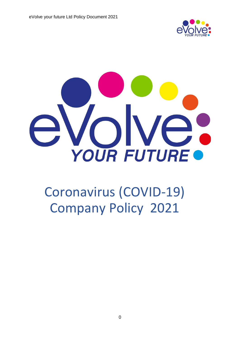



# Coronavirus (COVID-19) Company Policy 2021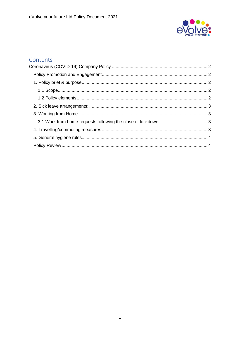

### Contents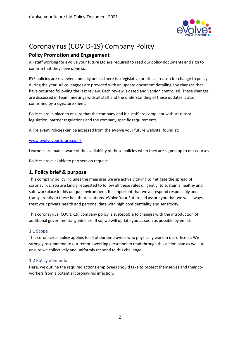

## <span id="page-2-0"></span>Coronavirus (COVID-19) Company Policy

#### <span id="page-2-1"></span>**Policy Promotion and Engagement**

All staff working for eVolve your future Ltd are required to read our policy documents and sign to confirm that they have done so.

EYF policies are reviewed annually unless there is a legislative or ethical reason for change to policy during the year. All colleagues are provided with an update document detailing any changes that have occurred following the last review. Each review is dated and version controlled. These changes are discussed in Team meetings with all staff and the understanding of these updates is also confirmed by a signature sheet.

Policies are in place to ensure that the company and it's staff are compliant with statutory legislation, partner regulations and the company specific requirements.

All relevant Policies can be accessed from the eVolve your future website, found at:

#### [www.evolveyourfuture.co.uk](http://www.evolveyourfuture.co.uk/)

Learners are made aware of the availability of these policies when they are signed up to our courses.

Policies are available to partners on request.

#### <span id="page-2-2"></span>**1. Policy brief & purpose**

This company policy includes the measures we are actively taking to mitigate the spread of coronavirus. You are kindly requested to follow all these rules diligently, to sustain a healthy and safe workplace in this unique environment. It's important that we all respond responsibly and transparently to these health precautions, eVolve Your Future Ltd assure you that we will always treat your private health and personal data with high confidentiality and sensitivity.

This coronavirus (COVID-19) company policy is susceptible to changes with the introduction of additional governmental guidelines. If so, we will update you as soon as possible by email.

#### <span id="page-2-3"></span>1.1 Scope

This coronavirus policy applies to all of our employees who physically work in our office(s). We strongly recommend to our remote working personnel to read through this action plan as well, to ensure we collectively and uniformly respond to this challenge.

#### <span id="page-2-4"></span>1.2 Policy elements

Here, we outline the required actions employees should take to protect themselves and their coworkers from a potential coronavirus infection.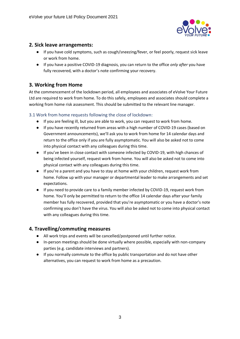

#### <span id="page-3-0"></span>**2. Sick leave arrangements:**

- If you have cold symptoms, such as cough/sneezing/fever, or feel poorly, request sick leave or work from home.
- If you have a positive COVID-19 diagnosis, you can return to the office *only after* you have fully recovered, with a doctor's note confirming your recovery.

#### <span id="page-3-1"></span>**3. Working from Home**

At the commencement of the lockdown period, all employees and associates of eVolve Your Future Ltd are required to work from home. To do this safely, employees and associates should complete a working from home risk assessment. This should be submitted to the relevant line manager.

#### <span id="page-3-2"></span>3.1 Work from home requests following the close of lockdown:

- If you are feeling ill, but you are able to work, you can request to work from home.
- If you have recently returned from areas with a high number of COVID-19 cases (based on Government announcements), we'll ask you to work from home for 14 calendar days and return to the office only if you are fully asymptomatic. You will also be asked not to come into physical contact with any colleagues during this time.
- If you've been in close contact with someone infected by COVID-19, with high chances of being infected yourself, request work from home. You will also be asked not to come into physical contact with any colleagues during this time.
- If you're a parent and you have to stay at home with your children, request work from home. Follow up with your manager or departmental leader to make arrangements and set expectations.
- If you need to provide care to a family member infected by COVID-19, request work from home. You'll only be permitted to return to the office 14 calendar days after your family member has fully recovered, provided that you're asymptomatic or you have a doctor's note confirming you don't have the virus. You will also be asked not to come into physical contact with any colleagues during this time.

#### <span id="page-3-3"></span>**4. Travelling/commuting measures**

- All work trips and events will be cancelled/postponed until further notice.
- In-person meetings should be done virtually where possible, especially with non-company parties (e.g. candidate interviews and partners).
- If you normally commute to the office by public transportation and do not have other alternatives, you can request to work from home as a precaution.